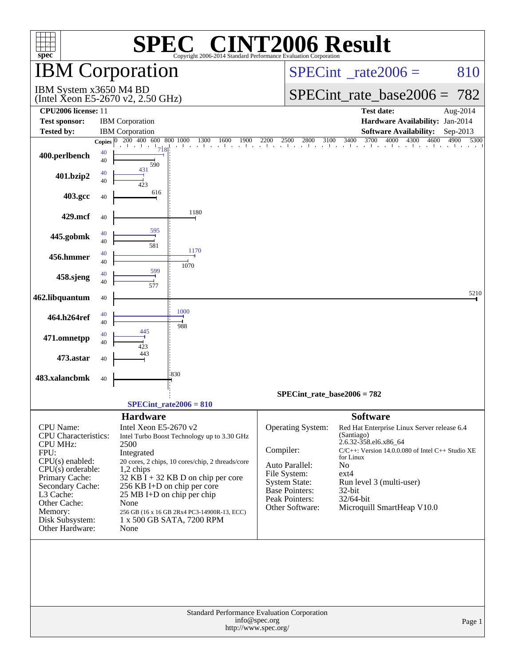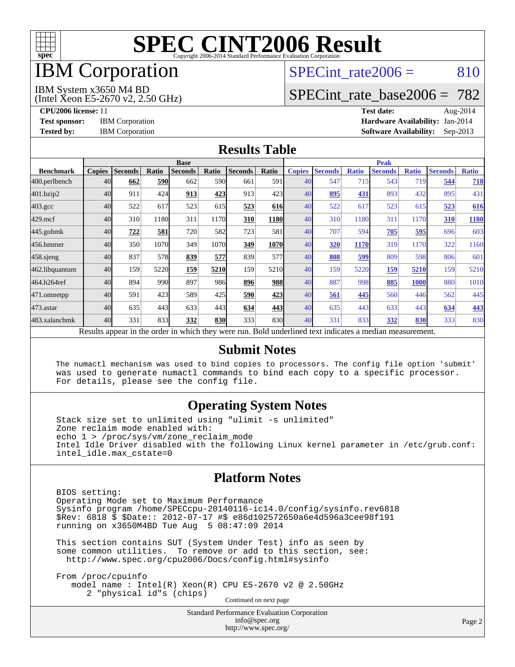

## IBM Corporation

## SPECint rate $2006 = 810$

#### IBM System x3650 M4 BD

(Intel Xeon E5-2670 v2, 2.50 GHz)

[SPECint\\_rate\\_base2006 =](http://www.spec.org/auto/cpu2006/Docs/result-fields.html#SPECintratebase2006) 782

**[Tested by:](http://www.spec.org/auto/cpu2006/Docs/result-fields.html#Testedby)** IBM Corporation **[Software Availability:](http://www.spec.org/auto/cpu2006/Docs/result-fields.html#SoftwareAvailability)** Sep-2013

**[CPU2006 license:](http://www.spec.org/auto/cpu2006/Docs/result-fields.html#CPU2006license)** 11 **[Test date:](http://www.spec.org/auto/cpu2006/Docs/result-fields.html#Testdate)** Aug-2014 **[Test sponsor:](http://www.spec.org/auto/cpu2006/Docs/result-fields.html#Testsponsor)** IBM Corporation **[Hardware Availability:](http://www.spec.org/auto/cpu2006/Docs/result-fields.html#HardwareAvailability)** Jan-2014

#### **[Results Table](http://www.spec.org/auto/cpu2006/Docs/result-fields.html#ResultsTable)**

|                    | <b>Base</b>   |                |              |                                                                                                          |       |                |            | <b>Peak</b>   |                |              |                |              |                |              |
|--------------------|---------------|----------------|--------------|----------------------------------------------------------------------------------------------------------|-------|----------------|------------|---------------|----------------|--------------|----------------|--------------|----------------|--------------|
| <b>Benchmark</b>   | <b>Copies</b> | <b>Seconds</b> | <b>Ratio</b> | <b>Seconds</b>                                                                                           | Ratio | <b>Seconds</b> | Ratio      | <b>Copies</b> | <b>Seconds</b> | <b>Ratio</b> | <b>Seconds</b> | <b>Ratio</b> | <b>Seconds</b> | <b>Ratio</b> |
| 400.perlbench      | 40            | 662            | 590          | 662                                                                                                      | 590   | 661            | 591        | 40            | 547            | 715          | 543            | 719          | 544            | 718          |
| 401.bzip2          | 40            | 911            | 424          | 913                                                                                                      | 423   | 913            | 423        | 40            | 895            | 431          | 893            | 432          | 895            | 431          |
| $403.\mathrm{gcc}$ | 40            | 522            | 617          | 523                                                                                                      | 615   | 523            | <b>616</b> | 40            | 522            | 617          | 523            | 615          | 523            | 616          |
| $429$ .mcf         | 40            | 310            | 1180         | 311                                                                                                      | 1170  | 310            | 1180       | 40            | 310            | 1180         | 311            | 1170         | 310            | 1180         |
| $445$ .gobmk       | 40            | 722            | 581          | 720                                                                                                      | 582   | 723            | 581        | 40            | 707            | 594          | 705            | <u>595</u>   | 696            | 603          |
| 456.hmmer          | 40            | 350            | 1070         | 349                                                                                                      | 1070  | 349            | 1070       | 40            | 320            | 1170         | 319            | 1170         | 322            | 1160         |
| $458$ .sjeng       | 40            | 837            | 578          | 839                                                                                                      | 577   | 839            | 577l       | 40            | 808            | 599          | 809            | 598          | 806            | 601          |
| 462.libquantum     | 40            | 159            | 5220         | 159                                                                                                      | 5210  | 159            | 5210       | 40            | 159            | 5220         | 159            | 5210         | 159            | 5210         |
| 464.h264ref        | 40            | 894            | 990          | 897                                                                                                      | 986   | 896            | 988        | 40            | 887            | 998          | 885            | <b>1000</b>  | 880            | 1010         |
| 471.omnetpp        | 40            | 591            | 423          | 589                                                                                                      | 425   | 590            | 423        | 40            | 561            | 445          | 560            | 446          | 562            | 445          |
| $473$ . astar      | 40            | 635            | 443          | 633                                                                                                      | 443   | 634            | 443        | 40            | 635            | 443          | 633            | 443          | 634            | 443          |
| 483.xalancbmk      | 40            | 331            | 833          | 332                                                                                                      | 830   | 333            | 830        | 40            | 331            | 833          | 332            | 830          | 333            | 830          |
|                    |               |                |              | Results appear in the order in which they were run. Bold underlined text indicates a median measurement. |       |                |            |               |                |              |                |              |                |              |

#### **[Submit Notes](http://www.spec.org/auto/cpu2006/Docs/result-fields.html#SubmitNotes)**

 The numactl mechanism was used to bind copies to processors. The config file option 'submit' was used to generate numactl commands to bind each copy to a specific processor. For details, please see the config file.

### **[Operating System Notes](http://www.spec.org/auto/cpu2006/Docs/result-fields.html#OperatingSystemNotes)**

 Stack size set to unlimited using "ulimit -s unlimited" Zone reclaim mode enabled with: echo 1 > /proc/sys/vm/zone\_reclaim\_mode Intel Idle Driver disabled with the following Linux kernel parameter in /etc/grub.conf: intel\_idle.max\_cstate=0

#### **[Platform Notes](http://www.spec.org/auto/cpu2006/Docs/result-fields.html#PlatformNotes)**

 BIOS setting: Operating Mode set to Maximum Performance Sysinfo program /home/SPECcpu-20140116-ic14.0/config/sysinfo.rev6818 \$Rev: 6818 \$ \$Date:: 2012-07-17 #\$ e86d102572650a6e4d596a3cee98f191 running on x3650M4BD Tue Aug 5 08:47:09 2014

 This section contains SUT (System Under Test) info as seen by some common utilities. To remove or add to this section, see: <http://www.spec.org/cpu2006/Docs/config.html#sysinfo>

 From /proc/cpuinfo model name : Intel(R) Xeon(R) CPU E5-2670 v2 @ 2.50GHz 2 "physical id"s (chips) Continued on next page

> Standard Performance Evaluation Corporation [info@spec.org](mailto:info@spec.org) <http://www.spec.org/>

Page 2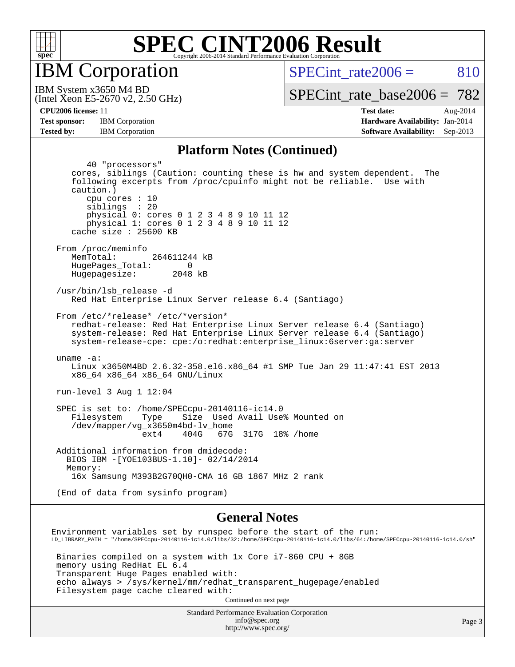

IBM Corporation

SPECint rate $2006 = 810$ 

(Intel Xeon E5-2670 v2, 2.50 GHz) IBM System x3650 M4 BD

[SPECint\\_rate\\_base2006 =](http://www.spec.org/auto/cpu2006/Docs/result-fields.html#SPECintratebase2006) 782

**[Tested by:](http://www.spec.org/auto/cpu2006/Docs/result-fields.html#Testedby)** IBM Corporation **[Software Availability:](http://www.spec.org/auto/cpu2006/Docs/result-fields.html#SoftwareAvailability)** Sep-2013

**[CPU2006 license:](http://www.spec.org/auto/cpu2006/Docs/result-fields.html#CPU2006license)** 11 **[Test date:](http://www.spec.org/auto/cpu2006/Docs/result-fields.html#Testdate)** Aug-2014 **[Test sponsor:](http://www.spec.org/auto/cpu2006/Docs/result-fields.html#Testsponsor)** IBM Corporation **[Hardware Availability:](http://www.spec.org/auto/cpu2006/Docs/result-fields.html#HardwareAvailability)** Jan-2014

#### **[Platform Notes \(Continued\)](http://www.spec.org/auto/cpu2006/Docs/result-fields.html#PlatformNotes)**

 40 "processors" cores, siblings (Caution: counting these is hw and system dependent. The following excerpts from /proc/cpuinfo might not be reliable. Use with caution.) cpu cores : 10 siblings : 20 physical 0: cores 0 1 2 3 4 8 9 10 11 12 physical 1: cores 0 1 2 3 4 8 9 10 11 12 cache size : 25600 KB From /proc/meminfo MemTotal: 264611244 kB HugePages\_Total: 0<br>Hugepagesize: 2048 kB Hugepagesize: /usr/bin/lsb\_release -d Red Hat Enterprise Linux Server release 6.4 (Santiago) From /etc/\*release\* /etc/\*version\* redhat-release: Red Hat Enterprise Linux Server release 6.4 (Santiago) system-release: Red Hat Enterprise Linux Server release 6.4 (Santiago) system-release-cpe: cpe:/o:redhat:enterprise\_linux:6server:ga:server uname -a: Linux x3650M4BD 2.6.32-358.el6.x86\_64 #1 SMP Tue Jan 29 11:47:41 EST 2013 x86\_64 x86\_64 x86\_64 GNU/Linux run-level 3 Aug 1 12:04 SPEC is set to: /home/SPECcpu-20140116-ic14.0 Filesystem Type Size Used Avail Use% Mounted on /dev/mapper/vg\_x3650m4bd-lv\_home ext4 404G 67G 317G 18% /home Additional information from dmidecode: BIOS IBM -[YOE103BUS-1.10]- 02/14/2014 Memory: 16x Samsung M393B2G70QH0-CMA 16 GB 1867 MHz 2 rank (End of data from sysinfo program) **[General Notes](http://www.spec.org/auto/cpu2006/Docs/result-fields.html#GeneralNotes)** Environment variables set by runspec before the start of the run: LD\_LIBRARY\_PATH = "/home/SPECcpu-20140116-ic14.0/libs/32:/home/SPECcpu-20140116-ic14.0/libs/64:/home/SPECcpu-20140116-ic14.0/sh"

 Binaries compiled on a system with 1x Core i7-860 CPU + 8GB memory using RedHat EL 6.4 Transparent Huge Pages enabled with: echo always > /sys/kernel/mm/redhat\_transparent\_hugepage/enabled Filesystem page cache cleared with:

Continued on next page

Standard Performance Evaluation Corporation [info@spec.org](mailto:info@spec.org) <http://www.spec.org/>

Page 3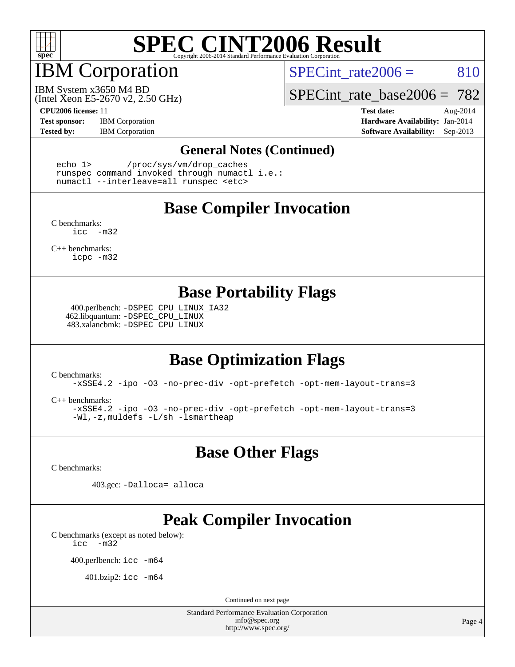

## IBM Corporation

SPECint rate $2006 = 810$ 

(Intel Xeon E5-2670 v2, 2.50 GHz) IBM System x3650 M4 BD

SPECint rate base2006 =  $782$ 

**[Test sponsor:](http://www.spec.org/auto/cpu2006/Docs/result-fields.html#Testsponsor)** IBM Corporation **[Hardware Availability:](http://www.spec.org/auto/cpu2006/Docs/result-fields.html#HardwareAvailability)** Jan-2014

**[CPU2006 license:](http://www.spec.org/auto/cpu2006/Docs/result-fields.html#CPU2006license)** 11 **[Test date:](http://www.spec.org/auto/cpu2006/Docs/result-fields.html#Testdate)** Aug-2014 **[Tested by:](http://www.spec.org/auto/cpu2006/Docs/result-fields.html#Testedby)** IBM Corporation **[Software Availability:](http://www.spec.org/auto/cpu2006/Docs/result-fields.html#SoftwareAvailability)** Sep-2013

#### **[General Notes \(Continued\)](http://www.spec.org/auto/cpu2006/Docs/result-fields.html#GeneralNotes)**

 echo 1> /proc/sys/vm/drop\_caches runspec command invoked through numactl i.e.: numactl --interleave=all runspec <etc>

### **[Base Compiler Invocation](http://www.spec.org/auto/cpu2006/Docs/result-fields.html#BaseCompilerInvocation)**

[C benchmarks](http://www.spec.org/auto/cpu2006/Docs/result-fields.html#Cbenchmarks): [icc -m32](http://www.spec.org/cpu2006/results/res2014q3/cpu2006-20140808-30835.flags.html#user_CCbase_intel_icc_5ff4a39e364c98233615fdd38438c6f2)

[C++ benchmarks:](http://www.spec.org/auto/cpu2006/Docs/result-fields.html#CXXbenchmarks) [icpc -m32](http://www.spec.org/cpu2006/results/res2014q3/cpu2006-20140808-30835.flags.html#user_CXXbase_intel_icpc_4e5a5ef1a53fd332b3c49e69c3330699)

### **[Base Portability Flags](http://www.spec.org/auto/cpu2006/Docs/result-fields.html#BasePortabilityFlags)**

 400.perlbench: [-DSPEC\\_CPU\\_LINUX\\_IA32](http://www.spec.org/cpu2006/results/res2014q3/cpu2006-20140808-30835.flags.html#b400.perlbench_baseCPORTABILITY_DSPEC_CPU_LINUX_IA32) 462.libquantum: [-DSPEC\\_CPU\\_LINUX](http://www.spec.org/cpu2006/results/res2014q3/cpu2006-20140808-30835.flags.html#b462.libquantum_baseCPORTABILITY_DSPEC_CPU_LINUX) 483.xalancbmk: [-DSPEC\\_CPU\\_LINUX](http://www.spec.org/cpu2006/results/res2014q3/cpu2006-20140808-30835.flags.html#b483.xalancbmk_baseCXXPORTABILITY_DSPEC_CPU_LINUX)

## **[Base Optimization Flags](http://www.spec.org/auto/cpu2006/Docs/result-fields.html#BaseOptimizationFlags)**

[C benchmarks](http://www.spec.org/auto/cpu2006/Docs/result-fields.html#Cbenchmarks):

[-xSSE4.2](http://www.spec.org/cpu2006/results/res2014q3/cpu2006-20140808-30835.flags.html#user_CCbase_f-xSSE42_f91528193cf0b216347adb8b939d4107) [-ipo](http://www.spec.org/cpu2006/results/res2014q3/cpu2006-20140808-30835.flags.html#user_CCbase_f-ipo) [-O3](http://www.spec.org/cpu2006/results/res2014q3/cpu2006-20140808-30835.flags.html#user_CCbase_f-O3) [-no-prec-div](http://www.spec.org/cpu2006/results/res2014q3/cpu2006-20140808-30835.flags.html#user_CCbase_f-no-prec-div) [-opt-prefetch](http://www.spec.org/cpu2006/results/res2014q3/cpu2006-20140808-30835.flags.html#user_CCbase_f-opt-prefetch) [-opt-mem-layout-trans=3](http://www.spec.org/cpu2006/results/res2014q3/cpu2006-20140808-30835.flags.html#user_CCbase_f-opt-mem-layout-trans_a7b82ad4bd7abf52556d4961a2ae94d5)

[C++ benchmarks:](http://www.spec.org/auto/cpu2006/Docs/result-fields.html#CXXbenchmarks)

[-xSSE4.2](http://www.spec.org/cpu2006/results/res2014q3/cpu2006-20140808-30835.flags.html#user_CXXbase_f-xSSE42_f91528193cf0b216347adb8b939d4107) [-ipo](http://www.spec.org/cpu2006/results/res2014q3/cpu2006-20140808-30835.flags.html#user_CXXbase_f-ipo) [-O3](http://www.spec.org/cpu2006/results/res2014q3/cpu2006-20140808-30835.flags.html#user_CXXbase_f-O3) [-no-prec-div](http://www.spec.org/cpu2006/results/res2014q3/cpu2006-20140808-30835.flags.html#user_CXXbase_f-no-prec-div) [-opt-prefetch](http://www.spec.org/cpu2006/results/res2014q3/cpu2006-20140808-30835.flags.html#user_CXXbase_f-opt-prefetch) [-opt-mem-layout-trans=3](http://www.spec.org/cpu2006/results/res2014q3/cpu2006-20140808-30835.flags.html#user_CXXbase_f-opt-mem-layout-trans_a7b82ad4bd7abf52556d4961a2ae94d5) [-Wl,-z,muldefs](http://www.spec.org/cpu2006/results/res2014q3/cpu2006-20140808-30835.flags.html#user_CXXbase_link_force_multiple1_74079c344b956b9658436fd1b6dd3a8a) [-L/sh -lsmartheap](http://www.spec.org/cpu2006/results/res2014q3/cpu2006-20140808-30835.flags.html#user_CXXbase_SmartHeap_32f6c82aa1ed9c52345d30cf6e4a0499)

**[Base Other Flags](http://www.spec.org/auto/cpu2006/Docs/result-fields.html#BaseOtherFlags)**

[C benchmarks](http://www.spec.org/auto/cpu2006/Docs/result-fields.html#Cbenchmarks):

403.gcc: [-Dalloca=\\_alloca](http://www.spec.org/cpu2006/results/res2014q3/cpu2006-20140808-30835.flags.html#b403.gcc_baseEXTRA_CFLAGS_Dalloca_be3056838c12de2578596ca5467af7f3)

## **[Peak Compiler Invocation](http://www.spec.org/auto/cpu2006/Docs/result-fields.html#PeakCompilerInvocation)**

[C benchmarks \(except as noted below\)](http://www.spec.org/auto/cpu2006/Docs/result-fields.html#Cbenchmarksexceptasnotedbelow): [icc -m32](http://www.spec.org/cpu2006/results/res2014q3/cpu2006-20140808-30835.flags.html#user_CCpeak_intel_icc_5ff4a39e364c98233615fdd38438c6f2)

400.perlbench: [icc -m64](http://www.spec.org/cpu2006/results/res2014q3/cpu2006-20140808-30835.flags.html#user_peakCCLD400_perlbench_intel_icc_64bit_bda6cc9af1fdbb0edc3795bac97ada53)

401.bzip2: [icc -m64](http://www.spec.org/cpu2006/results/res2014q3/cpu2006-20140808-30835.flags.html#user_peakCCLD401_bzip2_intel_icc_64bit_bda6cc9af1fdbb0edc3795bac97ada53)

Continued on next page

Standard Performance Evaluation Corporation [info@spec.org](mailto:info@spec.org) <http://www.spec.org/>

Page 4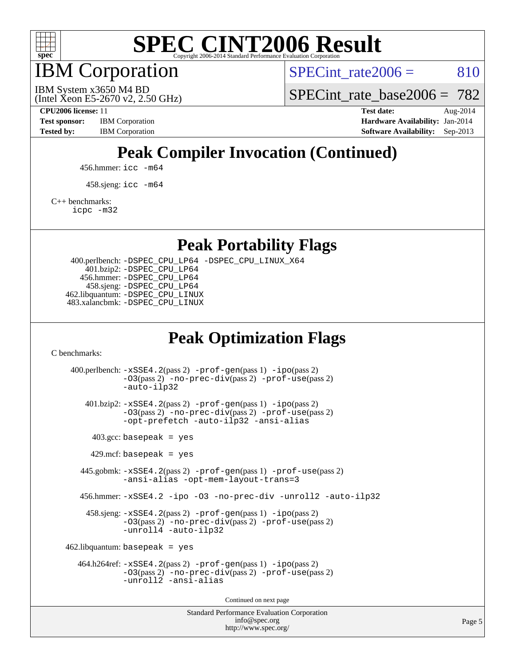

IBM Corporation

SPECint rate $2006 = 810$ 

(Intel Xeon E5-2670 v2, 2.50 GHz) IBM System x3650 M4 BD

SPECint rate base2006 =  $782$ 

**[Tested by:](http://www.spec.org/auto/cpu2006/Docs/result-fields.html#Testedby)** IBM Corporation **[Software Availability:](http://www.spec.org/auto/cpu2006/Docs/result-fields.html#SoftwareAvailability)** Sep-2013

**[CPU2006 license:](http://www.spec.org/auto/cpu2006/Docs/result-fields.html#CPU2006license)** 11 **[Test date:](http://www.spec.org/auto/cpu2006/Docs/result-fields.html#Testdate)** Aug-2014 **[Test sponsor:](http://www.spec.org/auto/cpu2006/Docs/result-fields.html#Testsponsor)** IBM Corporation **[Hardware Availability:](http://www.spec.org/auto/cpu2006/Docs/result-fields.html#HardwareAvailability)** Jan-2014

## **[Peak Compiler Invocation \(Continued\)](http://www.spec.org/auto/cpu2006/Docs/result-fields.html#PeakCompilerInvocation)**

456.hmmer: [icc -m64](http://www.spec.org/cpu2006/results/res2014q3/cpu2006-20140808-30835.flags.html#user_peakCCLD456_hmmer_intel_icc_64bit_bda6cc9af1fdbb0edc3795bac97ada53)

458.sjeng: [icc -m64](http://www.spec.org/cpu2006/results/res2014q3/cpu2006-20140808-30835.flags.html#user_peakCCLD458_sjeng_intel_icc_64bit_bda6cc9af1fdbb0edc3795bac97ada53)

[C++ benchmarks:](http://www.spec.org/auto/cpu2006/Docs/result-fields.html#CXXbenchmarks)

[icpc -m32](http://www.spec.org/cpu2006/results/res2014q3/cpu2006-20140808-30835.flags.html#user_CXXpeak_intel_icpc_4e5a5ef1a53fd332b3c49e69c3330699)

**[Peak Portability Flags](http://www.spec.org/auto/cpu2006/Docs/result-fields.html#PeakPortabilityFlags)**

 400.perlbench: [-DSPEC\\_CPU\\_LP64](http://www.spec.org/cpu2006/results/res2014q3/cpu2006-20140808-30835.flags.html#b400.perlbench_peakCPORTABILITY_DSPEC_CPU_LP64) [-DSPEC\\_CPU\\_LINUX\\_X64](http://www.spec.org/cpu2006/results/res2014q3/cpu2006-20140808-30835.flags.html#b400.perlbench_peakCPORTABILITY_DSPEC_CPU_LINUX_X64) 401.bzip2: [-DSPEC\\_CPU\\_LP64](http://www.spec.org/cpu2006/results/res2014q3/cpu2006-20140808-30835.flags.html#suite_peakCPORTABILITY401_bzip2_DSPEC_CPU_LP64) 456.hmmer: [-DSPEC\\_CPU\\_LP64](http://www.spec.org/cpu2006/results/res2014q3/cpu2006-20140808-30835.flags.html#suite_peakCPORTABILITY456_hmmer_DSPEC_CPU_LP64) 458.sjeng: [-DSPEC\\_CPU\\_LP64](http://www.spec.org/cpu2006/results/res2014q3/cpu2006-20140808-30835.flags.html#suite_peakCPORTABILITY458_sjeng_DSPEC_CPU_LP64) 462.libquantum: [-DSPEC\\_CPU\\_LINUX](http://www.spec.org/cpu2006/results/res2014q3/cpu2006-20140808-30835.flags.html#b462.libquantum_peakCPORTABILITY_DSPEC_CPU_LINUX) 483.xalancbmk: [-DSPEC\\_CPU\\_LINUX](http://www.spec.org/cpu2006/results/res2014q3/cpu2006-20140808-30835.flags.html#b483.xalancbmk_peakCXXPORTABILITY_DSPEC_CPU_LINUX)

## **[Peak Optimization Flags](http://www.spec.org/auto/cpu2006/Docs/result-fields.html#PeakOptimizationFlags)**

[C benchmarks](http://www.spec.org/auto/cpu2006/Docs/result-fields.html#Cbenchmarks):

Standard Performance Evaluation Corporation 400.perlbench: [-xSSE4.2](http://www.spec.org/cpu2006/results/res2014q3/cpu2006-20140808-30835.flags.html#user_peakPASS2_CFLAGSPASS2_LDCFLAGS400_perlbench_f-xSSE42_f91528193cf0b216347adb8b939d4107)(pass 2) [-prof-gen](http://www.spec.org/cpu2006/results/res2014q3/cpu2006-20140808-30835.flags.html#user_peakPASS1_CFLAGSPASS1_LDCFLAGS400_perlbench_prof_gen_e43856698f6ca7b7e442dfd80e94a8fc)(pass 1) [-ipo](http://www.spec.org/cpu2006/results/res2014q3/cpu2006-20140808-30835.flags.html#user_peakPASS2_CFLAGSPASS2_LDCFLAGS400_perlbench_f-ipo)(pass 2) [-O3](http://www.spec.org/cpu2006/results/res2014q3/cpu2006-20140808-30835.flags.html#user_peakPASS2_CFLAGSPASS2_LDCFLAGS400_perlbench_f-O3)(pass 2) [-no-prec-div](http://www.spec.org/cpu2006/results/res2014q3/cpu2006-20140808-30835.flags.html#user_peakPASS2_CFLAGSPASS2_LDCFLAGS400_perlbench_f-no-prec-div)(pass 2) [-prof-use](http://www.spec.org/cpu2006/results/res2014q3/cpu2006-20140808-30835.flags.html#user_peakPASS2_CFLAGSPASS2_LDCFLAGS400_perlbench_prof_use_bccf7792157ff70d64e32fe3e1250b55)(pass 2) [-auto-ilp32](http://www.spec.org/cpu2006/results/res2014q3/cpu2006-20140808-30835.flags.html#user_peakCOPTIMIZE400_perlbench_f-auto-ilp32) 401.bzip2: [-xSSE4.2](http://www.spec.org/cpu2006/results/res2014q3/cpu2006-20140808-30835.flags.html#user_peakPASS2_CFLAGSPASS2_LDCFLAGS401_bzip2_f-xSSE42_f91528193cf0b216347adb8b939d4107)(pass 2) [-prof-gen](http://www.spec.org/cpu2006/results/res2014q3/cpu2006-20140808-30835.flags.html#user_peakPASS1_CFLAGSPASS1_LDCFLAGS401_bzip2_prof_gen_e43856698f6ca7b7e442dfd80e94a8fc)(pass 1) [-ipo](http://www.spec.org/cpu2006/results/res2014q3/cpu2006-20140808-30835.flags.html#user_peakPASS2_CFLAGSPASS2_LDCFLAGS401_bzip2_f-ipo)(pass 2) [-O3](http://www.spec.org/cpu2006/results/res2014q3/cpu2006-20140808-30835.flags.html#user_peakPASS2_CFLAGSPASS2_LDCFLAGS401_bzip2_f-O3)(pass 2) [-no-prec-div](http://www.spec.org/cpu2006/results/res2014q3/cpu2006-20140808-30835.flags.html#user_peakPASS2_CFLAGSPASS2_LDCFLAGS401_bzip2_f-no-prec-div)(pass 2) [-prof-use](http://www.spec.org/cpu2006/results/res2014q3/cpu2006-20140808-30835.flags.html#user_peakPASS2_CFLAGSPASS2_LDCFLAGS401_bzip2_prof_use_bccf7792157ff70d64e32fe3e1250b55)(pass 2) [-opt-prefetch](http://www.spec.org/cpu2006/results/res2014q3/cpu2006-20140808-30835.flags.html#user_peakCOPTIMIZE401_bzip2_f-opt-prefetch) [-auto-ilp32](http://www.spec.org/cpu2006/results/res2014q3/cpu2006-20140808-30835.flags.html#user_peakCOPTIMIZE401_bzip2_f-auto-ilp32) [-ansi-alias](http://www.spec.org/cpu2006/results/res2014q3/cpu2006-20140808-30835.flags.html#user_peakCOPTIMIZE401_bzip2_f-ansi-alias)  $403.\text{gcc: basepeak}$  = yes  $429$ .mcf: basepeak = yes 445.gobmk: [-xSSE4.2](http://www.spec.org/cpu2006/results/res2014q3/cpu2006-20140808-30835.flags.html#user_peakPASS2_CFLAGSPASS2_LDCFLAGS445_gobmk_f-xSSE42_f91528193cf0b216347adb8b939d4107)(pass 2) [-prof-gen](http://www.spec.org/cpu2006/results/res2014q3/cpu2006-20140808-30835.flags.html#user_peakPASS1_CFLAGSPASS1_LDCFLAGS445_gobmk_prof_gen_e43856698f6ca7b7e442dfd80e94a8fc)(pass 1) [-prof-use](http://www.spec.org/cpu2006/results/res2014q3/cpu2006-20140808-30835.flags.html#user_peakPASS2_CFLAGSPASS2_LDCFLAGS445_gobmk_prof_use_bccf7792157ff70d64e32fe3e1250b55)(pass 2) [-ansi-alias](http://www.spec.org/cpu2006/results/res2014q3/cpu2006-20140808-30835.flags.html#user_peakCOPTIMIZE445_gobmk_f-ansi-alias) [-opt-mem-layout-trans=3](http://www.spec.org/cpu2006/results/res2014q3/cpu2006-20140808-30835.flags.html#user_peakCOPTIMIZE445_gobmk_f-opt-mem-layout-trans_a7b82ad4bd7abf52556d4961a2ae94d5) 456.hmmer: [-xSSE4.2](http://www.spec.org/cpu2006/results/res2014q3/cpu2006-20140808-30835.flags.html#user_peakCOPTIMIZE456_hmmer_f-xSSE42_f91528193cf0b216347adb8b939d4107) [-ipo](http://www.spec.org/cpu2006/results/res2014q3/cpu2006-20140808-30835.flags.html#user_peakCOPTIMIZE456_hmmer_f-ipo) [-O3](http://www.spec.org/cpu2006/results/res2014q3/cpu2006-20140808-30835.flags.html#user_peakCOPTIMIZE456_hmmer_f-O3) [-no-prec-div](http://www.spec.org/cpu2006/results/res2014q3/cpu2006-20140808-30835.flags.html#user_peakCOPTIMIZE456_hmmer_f-no-prec-div) [-unroll2](http://www.spec.org/cpu2006/results/res2014q3/cpu2006-20140808-30835.flags.html#user_peakCOPTIMIZE456_hmmer_f-unroll_784dae83bebfb236979b41d2422d7ec2) [-auto-ilp32](http://www.spec.org/cpu2006/results/res2014q3/cpu2006-20140808-30835.flags.html#user_peakCOPTIMIZE456_hmmer_f-auto-ilp32) 458.sjeng: [-xSSE4.2](http://www.spec.org/cpu2006/results/res2014q3/cpu2006-20140808-30835.flags.html#user_peakPASS2_CFLAGSPASS2_LDCFLAGS458_sjeng_f-xSSE42_f91528193cf0b216347adb8b939d4107)(pass 2) [-prof-gen](http://www.spec.org/cpu2006/results/res2014q3/cpu2006-20140808-30835.flags.html#user_peakPASS1_CFLAGSPASS1_LDCFLAGS458_sjeng_prof_gen_e43856698f6ca7b7e442dfd80e94a8fc)(pass 1) [-ipo](http://www.spec.org/cpu2006/results/res2014q3/cpu2006-20140808-30835.flags.html#user_peakPASS2_CFLAGSPASS2_LDCFLAGS458_sjeng_f-ipo)(pass 2) [-O3](http://www.spec.org/cpu2006/results/res2014q3/cpu2006-20140808-30835.flags.html#user_peakPASS2_CFLAGSPASS2_LDCFLAGS458_sjeng_f-O3)(pass 2) [-no-prec-div](http://www.spec.org/cpu2006/results/res2014q3/cpu2006-20140808-30835.flags.html#user_peakPASS2_CFLAGSPASS2_LDCFLAGS458_sjeng_f-no-prec-div)(pass 2) [-prof-use](http://www.spec.org/cpu2006/results/res2014q3/cpu2006-20140808-30835.flags.html#user_peakPASS2_CFLAGSPASS2_LDCFLAGS458_sjeng_prof_use_bccf7792157ff70d64e32fe3e1250b55)(pass 2) [-unroll4](http://www.spec.org/cpu2006/results/res2014q3/cpu2006-20140808-30835.flags.html#user_peakCOPTIMIZE458_sjeng_f-unroll_4e5e4ed65b7fd20bdcd365bec371b81f) [-auto-ilp32](http://www.spec.org/cpu2006/results/res2014q3/cpu2006-20140808-30835.flags.html#user_peakCOPTIMIZE458_sjeng_f-auto-ilp32)  $462$ .libquantum: basepeak = yes 464.h264ref: [-xSSE4.2](http://www.spec.org/cpu2006/results/res2014q3/cpu2006-20140808-30835.flags.html#user_peakPASS2_CFLAGSPASS2_LDCFLAGS464_h264ref_f-xSSE42_f91528193cf0b216347adb8b939d4107)(pass 2) [-prof-gen](http://www.spec.org/cpu2006/results/res2014q3/cpu2006-20140808-30835.flags.html#user_peakPASS1_CFLAGSPASS1_LDCFLAGS464_h264ref_prof_gen_e43856698f6ca7b7e442dfd80e94a8fc)(pass 1) [-ipo](http://www.spec.org/cpu2006/results/res2014q3/cpu2006-20140808-30835.flags.html#user_peakPASS2_CFLAGSPASS2_LDCFLAGS464_h264ref_f-ipo)(pass 2) [-O3](http://www.spec.org/cpu2006/results/res2014q3/cpu2006-20140808-30835.flags.html#user_peakPASS2_CFLAGSPASS2_LDCFLAGS464_h264ref_f-O3)(pass 2) [-no-prec-div](http://www.spec.org/cpu2006/results/res2014q3/cpu2006-20140808-30835.flags.html#user_peakPASS2_CFLAGSPASS2_LDCFLAGS464_h264ref_f-no-prec-div)(pass 2) [-prof-use](http://www.spec.org/cpu2006/results/res2014q3/cpu2006-20140808-30835.flags.html#user_peakPASS2_CFLAGSPASS2_LDCFLAGS464_h264ref_prof_use_bccf7792157ff70d64e32fe3e1250b55)(pass 2) [-unroll2](http://www.spec.org/cpu2006/results/res2014q3/cpu2006-20140808-30835.flags.html#user_peakCOPTIMIZE464_h264ref_f-unroll_784dae83bebfb236979b41d2422d7ec2) [-ansi-alias](http://www.spec.org/cpu2006/results/res2014q3/cpu2006-20140808-30835.flags.html#user_peakCOPTIMIZE464_h264ref_f-ansi-alias) Continued on next page

[info@spec.org](mailto:info@spec.org) <http://www.spec.org/>